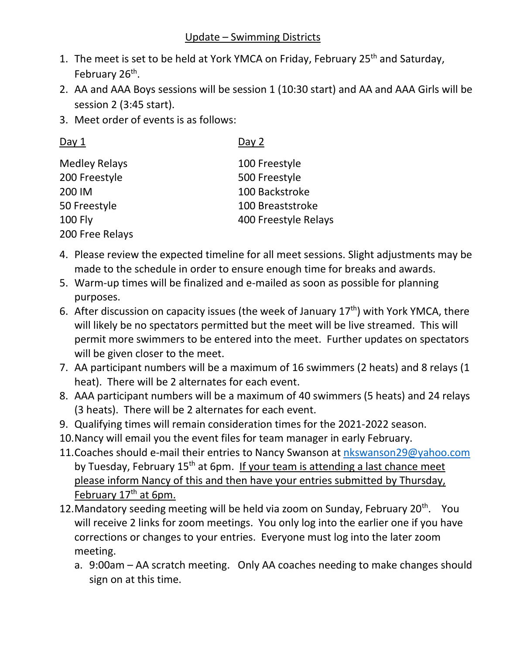## Update – Swimming Districts

- 1. The meet is set to be held at York YMCA on Friday, February 25<sup>th</sup> and Saturday, February 26<sup>th</sup>.
- 2. AA and AAA Boys sessions will be session 1 (10:30 start) and AA and AAA Girls will be session 2 (3:45 start).
- 3. Meet order of events is as follows:

| Day $1$              | Day 2                |
|----------------------|----------------------|
| <b>Medley Relays</b> | 100 Freestyle        |
| 200 Freestyle        | 500 Freestyle        |
| 200 IM               | 100 Backstroke       |
| 50 Freestyle         | 100 Breaststroke     |
| <b>100 Fly</b>       | 400 Freestyle Relays |
| 200 Free Relays      |                      |

- 4. Please review the expected timeline for all meet sessions. Slight adjustments may be made to the schedule in order to ensure enough time for breaks and awards.
- 5. Warm-up times will be finalized and e-mailed as soon as possible for planning purposes.
- 6. After discussion on capacity issues (the week of January  $17<sup>th</sup>$ ) with York YMCA, there will likely be no spectators permitted but the meet will be live streamed. This will permit more swimmers to be entered into the meet. Further updates on spectators will be given closer to the meet.
- 7. AA participant numbers will be a maximum of 16 swimmers (2 heats) and 8 relays (1 heat). There will be 2 alternates for each event.
- 8. AAA participant numbers will be a maximum of 40 swimmers (5 heats) and 24 relays (3 heats). There will be 2 alternates for each event.
- 9. Qualifying times will remain consideration times for the 2021-2022 season.
- 10.Nancy will email you the event files for team manager in early February.
- 11. Coaches should e-mail their entries to Nancy Swanson at [nkswanson29@yahoo.com](mailto:nkswanson29@yahoo.com) by Tuesday, February  $15<sup>th</sup>$  at 6pm. If your team is attending a last chance meet please inform Nancy of this and then have your entries submitted by Thursday, February 17<sup>th</sup> at 6pm.
- 12. Mandatory seeding meeting will be held via zoom on Sunday, February 20<sup>th</sup>. You will receive 2 links for zoom meetings. You only log into the earlier one if you have corrections or changes to your entries. Everyone must log into the later zoom meeting.
	- a. 9:00am AA scratch meeting. Only AA coaches needing to make changes should sign on at this time.